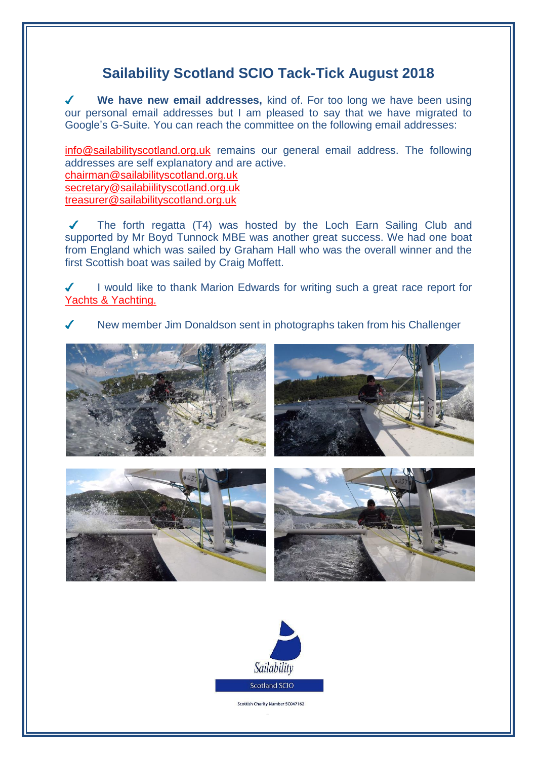## **Sailability Scotland SCIO Tack-Tick August 2018**

 $\overline{\mathcal{L}}$ **We have new email addresses,** kind of. For too long we have been using our personal email addresses but I am pleased to say that we have migrated to Google's G-Suite. You can reach the committee on the following email addresses:

[info@sailabilityscotland.org.uk](mailto:info@sailabilityscotland.org.uk) remains our general email address. The following addresses are self explanatory and are active. [chairman@sailabilityscotland.org.uk](mailto:chairman@sailabilityscotland.org.uk) [secretary@sailabiilityscotland.org.uk](mailto:secretary@sailabiilityscotland.org.uk) [treasurer@sailabilityscotland.org.uk](mailto:treasurer@sailabilityscotland.org.uk)

The forth regatta (T4) was hosted by the Loch Earn Sailing Club and supported by Mr Boyd Tunnock MBE was another great success. We had one boat from England which was sailed by Graham Hall who was the overall winner and the first Scottish boat was sailed by Craig Moffett.

I would like to thank Marion Edwards for writing such a great race report for  $\boldsymbol{J}$ [Yachts & Yachting.](https://www.yachtsandyachting.com/news/208038/Sailability-Scotland-Challengers-at-Loch-Earn)

New member Jim Donaldson sent in photographs taken from his Challenger







Scottish Charity Number SC047162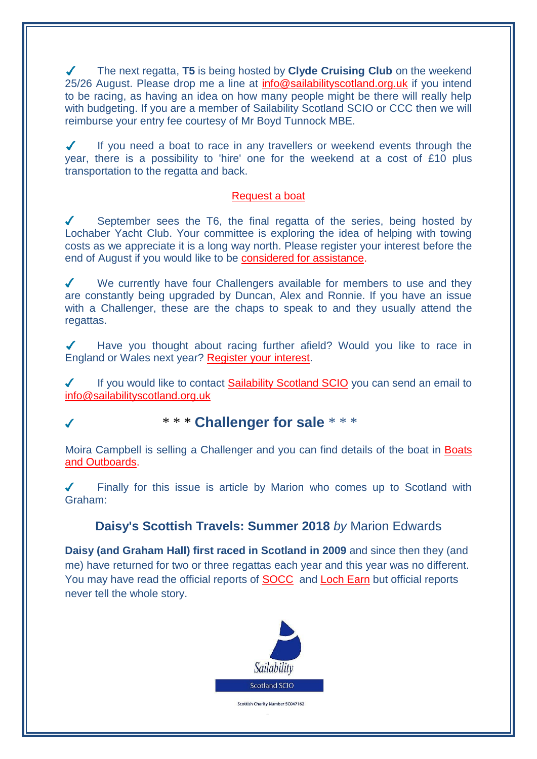The next regatta, **T5** is being hosted by **Clyde Cruising Club** on the weekend 25/26 August. Please drop me a line at [info@sailabilityscotland.org.uk](mailto:info@sailabilityscotland.org.uk?subject=I) if you intend to be racing, as having an idea on how many people might be there will really help with budgeting. If you are a member of Sailability Scotland SCIO or CCC then we will reimburse your entry fee courtesy of Mr Boyd Tunnock MBE.

 $\checkmark$ If you need a boat to race in any travellers or weekend events through the year, there is a possibility to 'hire' one for the weekend at a cost of £10 plus transportation to the regatta and back.

## [Request a boat](mailto:info@sailabilityscotland.org.uk?subject=T5%202018%20-%20Request%20a%20Boat)

September sees the T6, the final regatta of the series, being hosted by  $\sqrt{2}$ Lochaber Yacht Club. Your committee is exploring the idea of helping with towing costs as we appreciate it is a long way north. Please register your interest before the end of August if you would like to be [considered for assistance.](mailto:info@sailabilityscotland.org.uk?subject=Towing%20Assistance)

 $\boldsymbol{J}$ We currently have four Challengers available for members to use and they are constantly being upgraded by Duncan, Alex and Ronnie. If you have an issue with a Challenger, these are the chaps to speak to and they usually attend the regattas.

Have you thought about racing further afield? Would you like to race in England or Wales next year? [Register your interest.](mailto:info@sailabilityscotland.org.uk?subject=Race%20Away)

 $\boldsymbol{J}$ If you would like to contact [Sailability Scotland SCIO](http://www.sailabilityscotland.org.uk/contact_us.html) you can send an email to [info@sailabilityscotland.org.uk](mailto:info@sailabilityscotland.org.uk?subject=Contact)

## \* \* \* **Challenger for sale** \* \* \*

Moira Campbell is selling a Challenger and you can find details of the boat in [Boats](https://www.boatsandoutboards.co.uk/Trimaran/white-formula-challenger/228518#.W266FjNKayQ.facebook)  [and Outboards.](https://www.boatsandoutboards.co.uk/Trimaran/white-formula-challenger/228518#.W266FjNKayQ.facebook)

 $\mathcal{L}$ Finally for this issue is article by Marion who comes up to Scotland with Graham:

## **Daisy's Scottish Travels: Summer 2018** *by* Marion Edwards

**Daisy (and Graham Hall) first raced in Scotland in 2009** and since then they (and me) have returned for two or three regattas each year and this year was no different. You may have read the official reports of [SOCC](https://www.yachtsandyachting.com/news/206707/Scottish-Challenger-Championship-at-Solway) and [Loch Earn](https://www.yachtsandyachting.com/news/208038/Sailability-Scotland-Challengers-at-Loch-Earn) but official reports never tell the whole story.



Scottish Charity Number SC047162